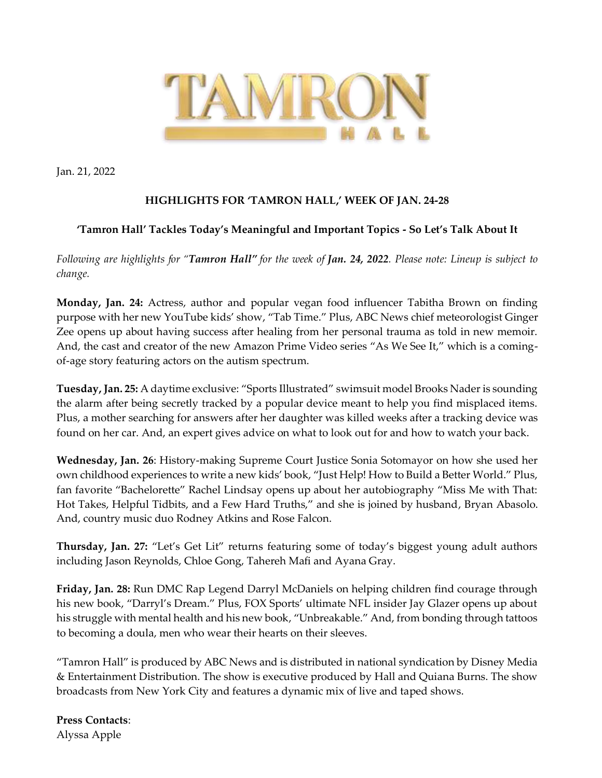

Jan. 21, 2022

## **HIGHLIGHTS FOR 'TAMRON HALL,' WEEK OF JAN. 24-28**

## **'Tamron Hall' Tackles Today's Meaningful and Important Topics - So Let's Talk About It**

*Following are highlights for "Tamron Hall" for the week of Jan. 24, 2022. Please note: Lineup is subject to change.* 

**Monday, Jan. 24:** Actress, author and popular vegan food influencer Tabitha Brown on finding purpose with her new YouTube kids' show, "Tab Time." Plus, ABC News chief meteorologist Ginger Zee opens up about having success after healing from her personal trauma as told in new memoir. And, the cast and creator of the new Amazon Prime Video series "As We See It," which is a comingof-age story featuring actors on the autism spectrum.

**Tuesday, Jan. 25:** A daytime exclusive: "Sports Illustrated" swimsuit model Brooks Nader is sounding the alarm after being secretly tracked by a popular device meant to help you find misplaced items. Plus, a mother searching for answers after her daughter was killed weeks after a tracking device was found on her car. And, an expert gives advice on what to look out for and how to watch your back.

**Wednesday, Jan. 26**: History-making Supreme Court Justice Sonia Sotomayor on how she used her own childhood experiences to write a new kids' book, "Just Help! How to Build a Better World." Plus, fan favorite "Bachelorette" Rachel Lindsay opens up about her autobiography "Miss Me with That: Hot Takes, Helpful Tidbits, and a Few Hard Truths," and she is joined by husband, Bryan Abasolo. And, country music duo Rodney Atkins and Rose Falcon.

**Thursday, Jan. 27:** "Let's Get Lit" returns featuring some of today's biggest young adult authors including Jason Reynolds, Chloe Gong, Tahereh Mafi and Ayana Gray.

**Friday, Jan. 28:** Run DMC Rap Legend Darryl McDaniels on helping children find courage through his new book, "Darryl's Dream." Plus, FOX Sports' ultimate NFL insider Jay Glazer opens up about his struggle with mental health and his new book, "Unbreakable." And, from bonding through tattoos to becoming a doula, men who wear their hearts on their sleeves.

"Tamron Hall" is produced by ABC News and is distributed in national syndication by Disney Media & Entertainment Distribution. The show is executive produced by Hall and Quiana Burns. The show broadcasts from New York City and features a dynamic mix of live and taped shows.

**Press Contacts**: Alyssa Apple